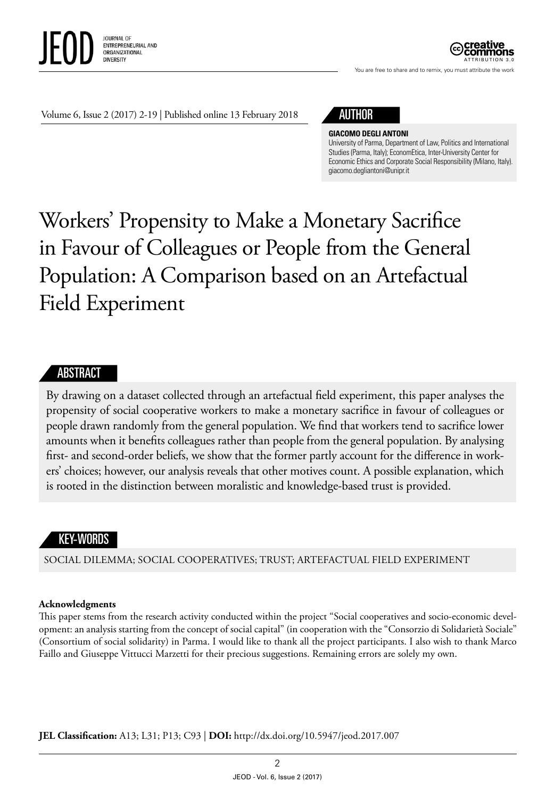

You are free to share and to remix, you must attribute the work

Volume 6, Issue 2 (2017) 2-19 | Published online 13 February 2018

# AUTHOR

#### **GIACOMO DEGLI ANTONI**

University of Parma, Department of Law, Politics and International Studies (Parma, Italy); EconomEtica, Inter-University Center for Economic Ethics and Corporate Social Responsibility (Milano, Italy). [giacomo.degliantoni@unipr.it](mailto:giacomo.degliantoni@unipr.it)

# Workers' Propensity to Make a Monetary Sacrifice in Favour of Colleagues or People from the General Population: A Comparison based on an Artefactual Field Experiment

## **ABSTRACT**

By drawing on a dataset collected through an artefactual field experiment, this paper analyses the propensity of social cooperative workers to make a monetary sacrifice in favour of colleagues or people drawn randomly from the general population. We find that workers tend to sacrifice lower amounts when it benefits colleagues rather than people from the general population. By analysing first- and second-order beliefs, we show that the former partly account for the difference in workers' choices; however, our analysis reveals that other motives count. A possible explanation, which is rooted in the distinction between moralistic and knowledge-based trust is provided.

# KEY-WORDS

SOCIAL DILEMMA; SOCIAL COOPERATIVES; TRUST; ARTEFACTUAL FIELD EXPERIMENT

#### **Acknowledgments**

This paper stems from the research activity conducted within the project "Social cooperatives and socio-economic development: an analysis starting from the concept of social capital" (in cooperation with the "Consorzio di Solidarietà Sociale" (Consortium of social solidarity) in Parma. I would like to thank all the project participants. I also wish to thank Marco Faillo and Giuseppe Vittucci Marzetti for their precious suggestions. Remaining errors are solely my own.

**JEL Classification:** A13; L31; P13; C93 | **DOI:** [http://dx.doi.org/10.5947/jeod.2017.00](http://dx.doi.org/10.5947/jeod.2017.006)7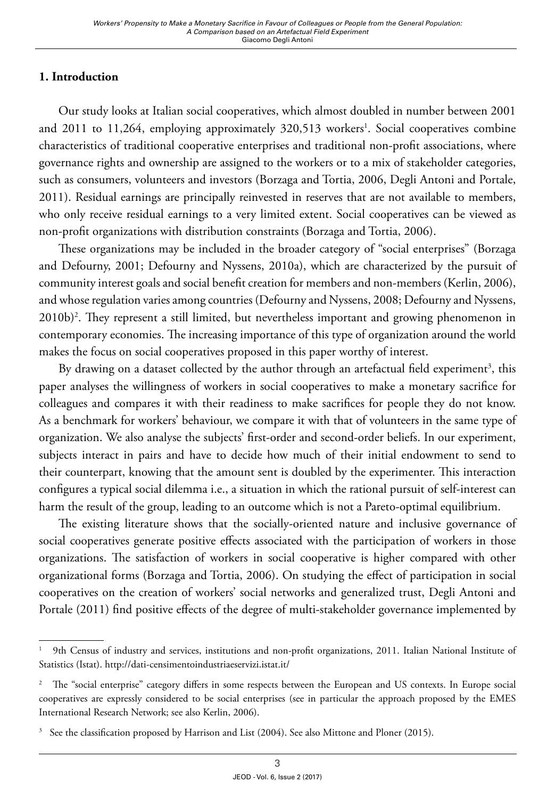# **1. Introduction**

Our study looks at Italian social cooperatives, which almost doubled in number between 2001 and 2011 to 11,264, employing approximately 320,513 workers<sup>1</sup>. Social cooperatives combine characteristics of traditional cooperative enterprises and traditional non-profit associations, where governance rights and ownership are assigned to the workers or to a mix of stakeholder categories, such as consumers, volunteers and investors (Borzaga and Tortia, 2006, Degli Antoni and Portale, 2011). Residual earnings are principally reinvested in reserves that are not available to members, who only receive residual earnings to a very limited extent. Social cooperatives can be viewed as non-profit organizations with distribution constraints (Borzaga and Tortia, 2006).

These organizations may be included in the broader category of "social enterprises" (Borzaga and Defourny, 2001; Defourny and Nyssens, 2010a), which are characterized by the pursuit of community interest goals and social benefit creation for members and non-members (Kerlin, 2006), and whose regulation varies among countries (Defourny and Nyssens, 2008; Defourny and Nyssens, 2010b)2 . They represent a still limited, but nevertheless important and growing phenomenon in contemporary economies. The increasing importance of this type of organization around the world makes the focus on social cooperatives proposed in this paper worthy of interest.

By drawing on a dataset collected by the author through an artefactual field experiment<sup>3</sup>, this paper analyses the willingness of workers in social cooperatives to make a monetary sacrifice for colleagues and compares it with their readiness to make sacrifices for people they do not know. As a benchmark for workers' behaviour, we compare it with that of volunteers in the same type of organization. We also analyse the subjects' first-order and second-order beliefs. In our experiment, subjects interact in pairs and have to decide how much of their initial endowment to send to their counterpart, knowing that the amount sent is doubled by the experimenter. This interaction configures a typical social dilemma i.e., a situation in which the rational pursuit of self-interest can harm the result of the group, leading to an outcome which is not a Pareto-optimal equilibrium.

The existing literature shows that the socially-oriented nature and inclusive governance of social cooperatives generate positive effects associated with the participation of workers in those organizations. The satisfaction of workers in social cooperative is higher compared with other organizational forms (Borzaga and Tortia, 2006). On studying the effect of participation in social cooperatives on the creation of workers' social networks and generalized trust, Degli Antoni and Portale (2011) find positive effects of the degree of multi-stakeholder governance implemented by

<sup>1</sup> 9th Census of industry and services, institutions and non-profit organizations, 2011. Italian National Institute of Statistics (Istat). http://dati-censimentoindustriaeservizi.istat.it/

<sup>2</sup> The "social enterprise" category differs in some respects between the European and US contexts. In Europe social cooperatives are expressly considered to be social enterprises (see in particular the approach proposed by the EMES International Research Network; see also Kerlin, 2006).

<sup>&</sup>lt;sup>3</sup> See the classification proposed by Harrison and List (2004). See also Mittone and Ploner (2015).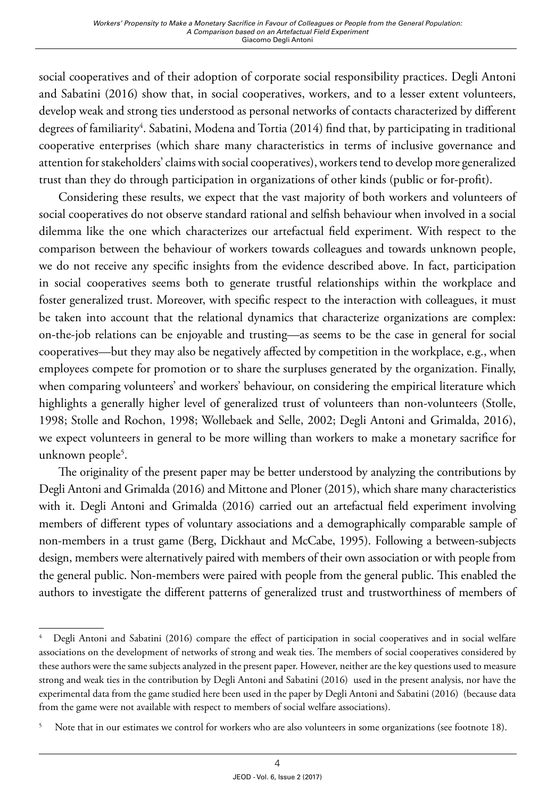social cooperatives and of their adoption of corporate social responsibility practices. Degli Antoni and Sabatini (2016) show that, in social cooperatives, workers, and to a lesser extent volunteers, develop weak and strong ties understood as personal networks of contacts characterized by different degrees of familiarity<sup>4</sup>. Sabatini, Modena and Tortia (2014) find that, by participating in traditional cooperative enterprises (which share many characteristics in terms of inclusive governance and attention for stakeholders' claims with social cooperatives), workers tend to develop more generalized trust than they do through participation in organizations of other kinds (public or for-profit).

Considering these results, we expect that the vast majority of both workers and volunteers of social cooperatives do not observe standard rational and selfish behaviour when involved in a social dilemma like the one which characterizes our artefactual field experiment. With respect to the comparison between the behaviour of workers towards colleagues and towards unknown people, we do not receive any specific insights from the evidence described above. In fact, participation in social cooperatives seems both to generate trustful relationships within the workplace and foster generalized trust. Moreover, with specific respect to the interaction with colleagues, it must be taken into account that the relational dynamics that characterize organizations are complex: on-the-job relations can be enjoyable and trusting—as seems to be the case in general for social cooperatives—but they may also be negatively affected by competition in the workplace, e.g., when employees compete for promotion or to share the surpluses generated by the organization. Finally, when comparing volunteers' and workers' behaviour, on considering the empirical literature which highlights a generally higher level of generalized trust of volunteers than non-volunteers (Stolle, 1998; Stolle and Rochon, 1998; Wollebaek and Selle, 2002; Degli Antoni and Grimalda, 2016), we expect volunteers in general to be more willing than workers to make a monetary sacrifice for unknown people<sup>5</sup>.

The originality of the present paper may be better understood by analyzing the contributions by Degli Antoni and Grimalda (2016) and Mittone and Ploner (2015), which share many characteristics with it. Degli Antoni and Grimalda (2016) carried out an artefactual field experiment involving members of different types of voluntary associations and a demographically comparable sample of non-members in a trust game (Berg, Dickhaut and McCabe, 1995). Following a between-subjects design, members were alternatively paired with members of their own association or with people from the general public. Non-members were paired with people from the general public. This enabled the authors to investigate the different patterns of generalized trust and trustworthiness of members of

<sup>4</sup> Degli Antoni and Sabatini (2016) compare the effect of participation in social cooperatives and in social welfare associations on the development of networks of strong and weak ties. The members of social cooperatives considered by these authors were the same subjects analyzed in the present paper. However, neither are the key questions used to measure strong and weak ties in the contribution by Degli Antoni and Sabatini (2016) used in the present analysis, nor have the experimental data from the game studied here been used in the paper by Degli Antoni and Sabatini (2016) (because data from the game were not available with respect to members of social welfare associations).

<sup>5</sup> Note that in our estimates we control for workers who are also volunteers in some organizations (see footnote 18).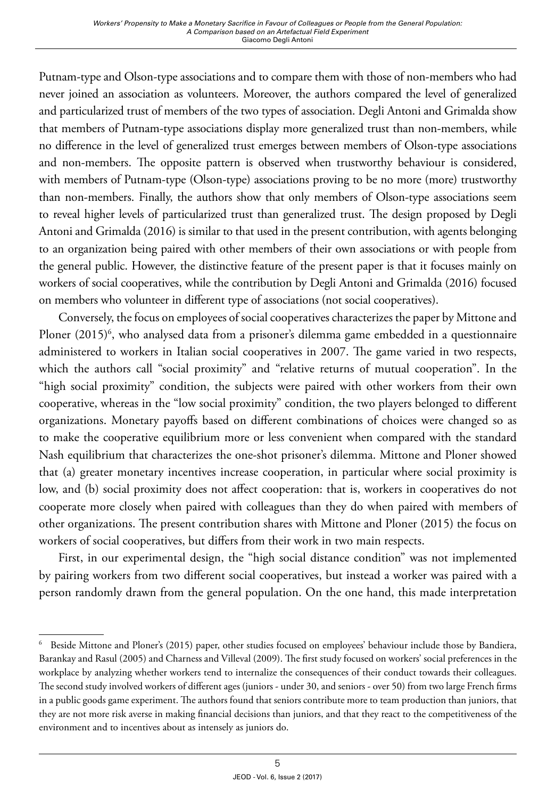Putnam-type and Olson-type associations and to compare them with those of non-members who had never joined an association as volunteers. Moreover, the authors compared the level of generalized and particularized trust of members of the two types of association. Degli Antoni and Grimalda show that members of Putnam-type associations display more generalized trust than non-members, while no difference in the level of generalized trust emerges between members of Olson-type associations and non-members. The opposite pattern is observed when trustworthy behaviour is considered, with members of Putnam-type (Olson-type) associations proving to be no more (more) trustworthy than non-members. Finally, the authors show that only members of Olson-type associations seem to reveal higher levels of particularized trust than generalized trust. The design proposed by Degli Antoni and Grimalda (2016) is similar to that used in the present contribution, with agents belonging to an organization being paired with other members of their own associations or with people from the general public. However, the distinctive feature of the present paper is that it focuses mainly on workers of social cooperatives, while the contribution by Degli Antoni and Grimalda (2016) focused on members who volunteer in different type of associations (not social cooperatives).

Conversely, the focus on employees of social cooperatives characterizes the paper by Mittone and Ploner (2015)<sup>6</sup>, who analysed data from a prisoner's dilemma game embedded in a questionnaire administered to workers in Italian social cooperatives in 2007. The game varied in two respects, which the authors call "social proximity" and "relative returns of mutual cooperation". In the "high social proximity" condition, the subjects were paired with other workers from their own cooperative, whereas in the "low social proximity" condition, the two players belonged to different organizations. Monetary payoffs based on different combinations of choices were changed so as to make the cooperative equilibrium more or less convenient when compared with the standard Nash equilibrium that characterizes the one-shot prisoner's dilemma. Mittone and Ploner showed that (a) greater monetary incentives increase cooperation, in particular where social proximity is low, and (b) social proximity does not affect cooperation: that is, workers in cooperatives do not cooperate more closely when paired with colleagues than they do when paired with members of other organizations. The present contribution shares with Mittone and Ploner (2015) the focus on workers of social cooperatives, but differs from their work in two main respects.

First, in our experimental design, the "high social distance condition" was not implemented by pairing workers from two different social cooperatives, but instead a worker was paired with a person randomly drawn from the general population. On the one hand, this made interpretation

<sup>6</sup> Beside Mittone and Ploner's (2015) paper, other studies focused on employees' behaviour include those by Bandiera, Barankay and Rasul (2005) and Charness and Villeval (2009). The first study focused on workers' social preferences in the workplace by analyzing whether workers tend to internalize the consequences of their conduct towards their colleagues. The second study involved workers of different ages (juniors - under 30, and seniors - over 50) from two large French firms in a public goods game experiment. The authors found that seniors contribute more to team production than juniors, that they are not more risk averse in making financial decisions than juniors, and that they react to the competitiveness of the environment and to incentives about as intensely as juniors do.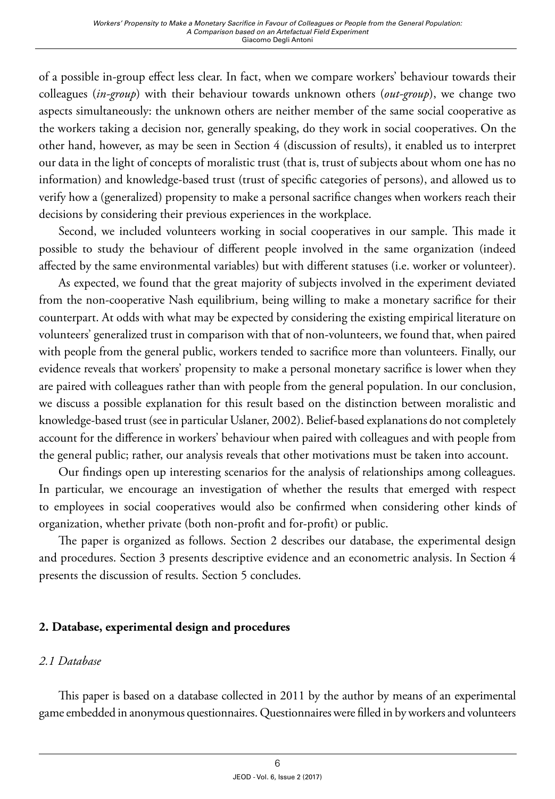of a possible in-group effect less clear. In fact, when we compare workers' behaviour towards their colleagues (*in-group*) with their behaviour towards unknown others (*out-group*), we change two aspects simultaneously: the unknown others are neither member of the same social cooperative as the workers taking a decision nor, generally speaking, do they work in social cooperatives. On the other hand, however, as may be seen in Section 4 (discussion of results), it enabled us to interpret our data in the light of concepts of moralistic trust (that is, trust of subjects about whom one has no information) and knowledge-based trust (trust of specific categories of persons), and allowed us to verify how a (generalized) propensity to make a personal sacrifice changes when workers reach their decisions by considering their previous experiences in the workplace.

Second, we included volunteers working in social cooperatives in our sample. This made it possible to study the behaviour of different people involved in the same organization (indeed affected by the same environmental variables) but with different statuses (i.e. worker or volunteer).

As expected, we found that the great majority of subjects involved in the experiment deviated from the non-cooperative Nash equilibrium, being willing to make a monetary sacrifice for their counterpart. At odds with what may be expected by considering the existing empirical literature on volunteers' generalized trust in comparison with that of non-volunteers, we found that, when paired with people from the general public, workers tended to sacrifice more than volunteers. Finally, our evidence reveals that workers' propensity to make a personal monetary sacrifice is lower when they are paired with colleagues rather than with people from the general population. In our conclusion, we discuss a possible explanation for this result based on the distinction between moralistic and knowledge-based trust (see in particular Uslaner, 2002). Belief-based explanations do not completely account for the difference in workers' behaviour when paired with colleagues and with people from the general public; rather, our analysis reveals that other motivations must be taken into account.

Our findings open up interesting scenarios for the analysis of relationships among colleagues. In particular, we encourage an investigation of whether the results that emerged with respect to employees in social cooperatives would also be confirmed when considering other kinds of organization, whether private (both non-profit and for-profit) or public.

The paper is organized as follows. Section 2 describes our database, the experimental design and procedures. Section 3 presents descriptive evidence and an econometric analysis. In Section 4 presents the discussion of results. Section 5 concludes.

## **2. Database, experimental design and procedures**

## *2.1 Database*

This paper is based on a database collected in 2011 by the author by means of an experimental game embedded in anonymous questionnaires. Questionnaires were filled in by workers and volunteers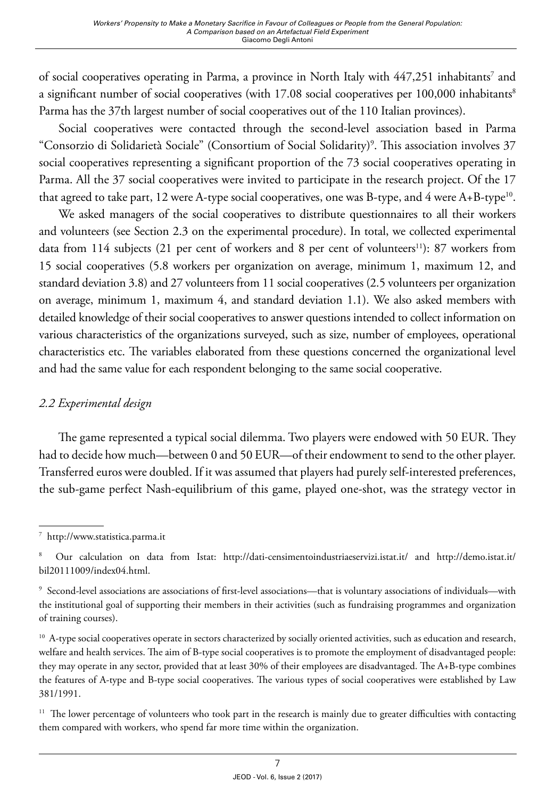of social cooperatives operating in Parma, a province in North Italy with 447,251 inhabitants<sup>7</sup> and a significant number of social cooperatives (with 17.08 social cooperatives per 100,000 inhabitants<sup>8</sup> Parma has the 37th largest number of social cooperatives out of the 110 Italian provinces).

Social cooperatives were contacted through the second-level association based in Parma "Consorzio di Solidarietà Sociale" (Consortium of Social Solidarity)9 . This association involves 37 social cooperatives representing a significant proportion of the 73 social cooperatives operating in Parma. All the 37 social cooperatives were invited to participate in the research project. Of the 17 that agreed to take part, 12 were A-type social cooperatives, one was B-type, and 4 were  $A+B$ -type<sup>10</sup>.

We asked managers of the social cooperatives to distribute questionnaires to all their workers and volunteers (see Section 2.3 on the experimental procedure). In total, we collected experimental data from 114 subjects (21 per cent of workers and 8 per cent of volunteers<sup>11</sup>): 87 workers from 15 social cooperatives (5.8 workers per organization on average, minimum 1, maximum 12, and standard deviation 3.8) and 27 volunteers from 11 social cooperatives (2.5 volunteers per organization on average, minimum 1, maximum 4, and standard deviation 1.1). We also asked members with detailed knowledge of their social cooperatives to answer questions intended to collect information on various characteristics of the organizations surveyed, such as size, number of employees, operational characteristics etc. The variables elaborated from these questions concerned the organizational level and had the same value for each respondent belonging to the same social cooperative.

# *2.2 Experimental design*

The game represented a typical social dilemma. Two players were endowed with 50 EUR. They had to decide how much—between 0 and 50 EUR—of their endowment to send to the other player. Transferred euros were doubled. If it was assumed that players had purely self-interested preferences, the sub-game perfect Nash-equilibrium of this game, played one-shot, was the strategy vector in

<sup>7</sup> http://www.statistica.parma.it

<sup>8</sup> Our calculation on data from Istat: http://dati-censimentoindustriaeservizi.istat.it/ and http://demo.istat.it/ bil20111009/index04.html.

<sup>9</sup> Second-level associations are associations of first-level associations—that is voluntary associations of individuals—with the institutional goal of supporting their members in their activities (such as fundraising programmes and organization of training courses).

<sup>&</sup>lt;sup>10</sup> A-type social cooperatives operate in sectors characterized by socially oriented activities, such as education and research, welfare and health services. The aim of B-type social cooperatives is to promote the employment of disadvantaged people: they may operate in any sector, provided that at least 30% of their employees are disadvantaged. The A+B-type combines the features of A-type and B-type social cooperatives. The various types of social cooperatives were established by Law 381/1991.

<sup>&</sup>lt;sup>11</sup> The lower percentage of volunteers who took part in the research is mainly due to greater difficulties with contacting them compared with workers, who spend far more time within the organization.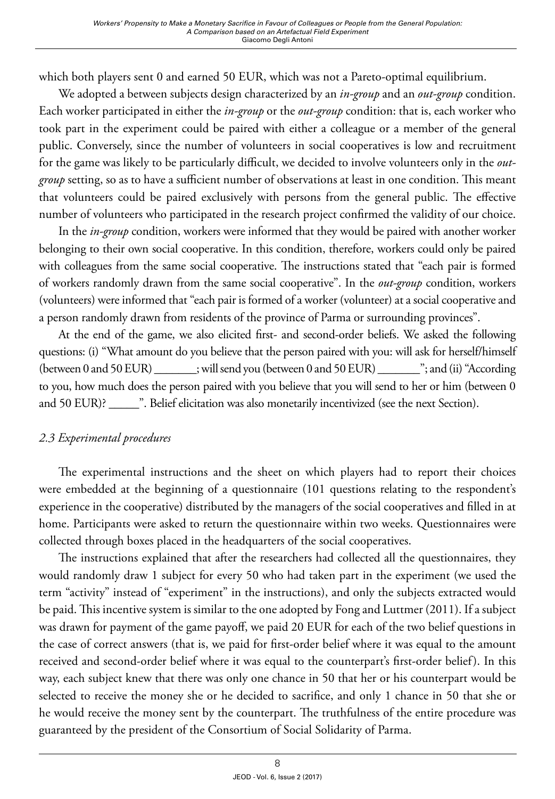which both players sent 0 and earned 50 EUR, which was not a Pareto-optimal equilibrium.

We adopted a between subjects design characterized by an *in-group* and an *out-group* condition. Each worker participated in either the *in-group* or the *out-group* condition: that is, each worker who took part in the experiment could be paired with either a colleague or a member of the general public. Conversely, since the number of volunteers in social cooperatives is low and recruitment for the game was likely to be particularly difficult, we decided to involve volunteers only in the *outgroup* setting, so as to have a sufficient number of observations at least in one condition. This meant that volunteers could be paired exclusively with persons from the general public. The effective number of volunteers who participated in the research project confirmed the validity of our choice.

In the *in-group* condition, workers were informed that they would be paired with another worker belonging to their own social cooperative. In this condition, therefore, workers could only be paired with colleagues from the same social cooperative. The instructions stated that "each pair is formed of workers randomly drawn from the same social cooperative". In the *out-group* condition, workers (volunteers) were informed that "each pair is formed of a worker (volunteer) at a social cooperative and a person randomly drawn from residents of the province of Parma or surrounding provinces".

At the end of the game, we also elicited first- and second-order beliefs. We asked the following questions: (i) "What amount do you believe that the person paired with you: will ask for herself/himself (between 0 and 50 EUR) \_\_\_\_\_\_\_; will send you (between 0 and 50 EUR) \_\_\_\_\_\_\_"; and (ii) "According to you, how much does the person paired with you believe that you will send to her or him (between 0 and 50 EUR)? \_\_\_\_\_". Belief elicitation was also monetarily incentivized (see the next Section).

# *2.3 Experimental procedures*

The experimental instructions and the sheet on which players had to report their choices were embedded at the beginning of a questionnaire (101 questions relating to the respondent's experience in the cooperative) distributed by the managers of the social cooperatives and filled in at home. Participants were asked to return the questionnaire within two weeks. Questionnaires were collected through boxes placed in the headquarters of the social cooperatives.

The instructions explained that after the researchers had collected all the questionnaires, they would randomly draw 1 subject for every 50 who had taken part in the experiment (we used the term "activity" instead of "experiment" in the instructions), and only the subjects extracted would be paid. This incentive system is similar to the one adopted by Fong and Luttmer (2011). If a subject was drawn for payment of the game payoff, we paid 20 EUR for each of the two belief questions in the case of correct answers (that is, we paid for first-order belief where it was equal to the amount received and second-order belief where it was equal to the counterpart's first-order belief). In this way, each subject knew that there was only one chance in 50 that her or his counterpart would be selected to receive the money she or he decided to sacrifice, and only 1 chance in 50 that she or he would receive the money sent by the counterpart. The truthfulness of the entire procedure was guaranteed by the president of the Consortium of Social Solidarity of Parma.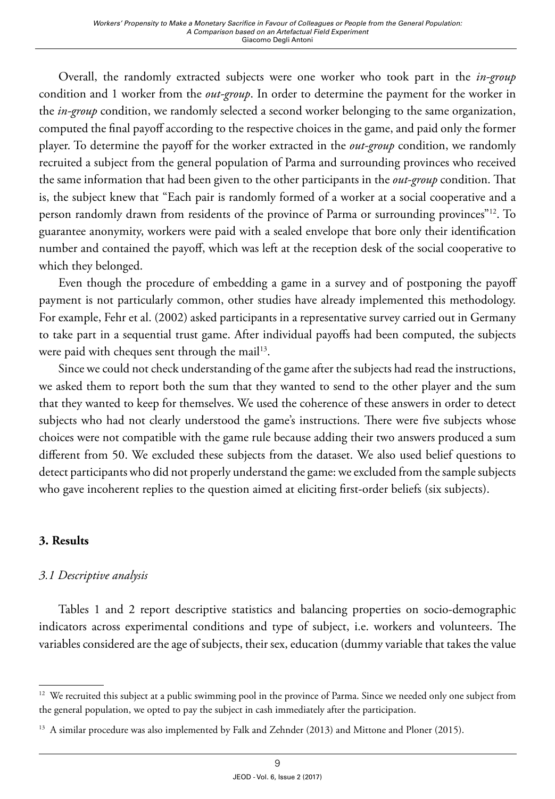Overall, the randomly extracted subjects were one worker who took part in the *in-group* condition and 1 worker from the *out-group*. In order to determine the payment for the worker in the *in-group* condition, we randomly selected a second worker belonging to the same organization, computed the final payoff according to the respective choices in the game, and paid only the former player. To determine the payoff for the worker extracted in the *out-group* condition, we randomly recruited a subject from the general population of Parma and surrounding provinces who received the same information that had been given to the other participants in the *out-group* condition. That is, the subject knew that "Each pair is randomly formed of a worker at a social cooperative and a person randomly drawn from residents of the province of Parma or surrounding provinces"12. To guarantee anonymity, workers were paid with a sealed envelope that bore only their identification number and contained the payoff, which was left at the reception desk of the social cooperative to which they belonged.

Even though the procedure of embedding a game in a survey and of postponing the payoff payment is not particularly common, other studies have already implemented this methodology. For example, Fehr et al. (2002) asked participants in a representative survey carried out in Germany to take part in a sequential trust game. After individual payoffs had been computed, the subjects were paid with cheques sent through the mail<sup>13</sup>.

Since we could not check understanding of the game after the subjects had read the instructions, we asked them to report both the sum that they wanted to send to the other player and the sum that they wanted to keep for themselves. We used the coherence of these answers in order to detect subjects who had not clearly understood the game's instructions. There were five subjects whose choices were not compatible with the game rule because adding their two answers produced a sum different from 50. We excluded these subjects from the dataset. We also used belief questions to detect participants who did not properly understand the game: we excluded from the sample subjects who gave incoherent replies to the question aimed at eliciting first-order beliefs (six subjects).

# **3. Results**

# *3.1 Descriptive analysis*

Tables 1 and 2 report descriptive statistics and balancing properties on socio-demographic indicators across experimental conditions and type of subject, i.e. workers and volunteers. The variables considered are the age of subjects, their sex, education (dummy variable that takes the value

<sup>&</sup>lt;sup>12</sup> We recruited this subject at a public swimming pool in the province of Parma. Since we needed only one subject from the general population, we opted to pay the subject in cash immediately after the participation.

<sup>&</sup>lt;sup>13</sup> A similar procedure was also implemented by Falk and Zehnder (2013) and Mittone and Ploner (2015).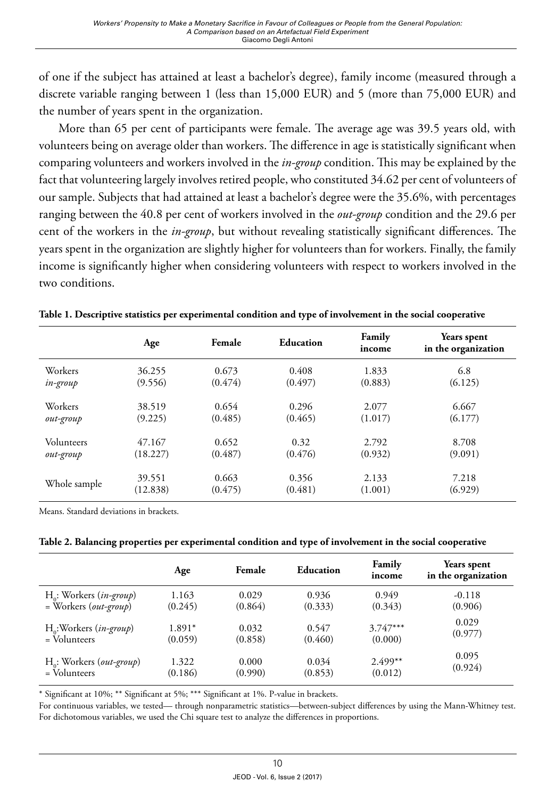of one if the subject has attained at least a bachelor's degree), family income (measured through a discrete variable ranging between 1 (less than 15,000 EUR) and 5 (more than 75,000 EUR) and the number of years spent in the organization.

More than 65 per cent of participants were female. The average age was 39.5 years old, with volunteers being on average older than workers. The difference in age is statistically significant when comparing volunteers and workers involved in the *in-group* condition. This may be explained by the fact that volunteering largely involves retired people, who constituted 34.62 per cent of volunteers of our sample. Subjects that had attained at least a bachelor's degree were the 35.6%, with percentages ranging between the 40.8 per cent of workers involved in the *out-group* condition and the 29.6 per cent of the workers in the *in-group*, but without revealing statistically significant differences. The years spent in the organization are slightly higher for volunteers than for workers. Finally, the family income is significantly higher when considering volunteers with respect to workers involved in the two conditions.

|              | Age      | Female  | Education | Family<br>income | Years spent<br>in the organization |
|--------------|----------|---------|-----------|------------------|------------------------------------|
| Workers      | 36.255   | 0.673   | 0.408     | 1.833            | 6.8                                |
| in-group     | (9.556)  | (0.474) | (0.497)   | (0.883)          | (6.125)                            |
| Workers      | 38.519   | 0.654   | 0.296     | 2.077            | 6.667                              |
| out-group    | (9.225)  | (0.485) | (0.465)   | (1.017)          | (6.177)                            |
| Volunteers   | 47.167   | 0.652   | 0.32      | 2.792            | 8.708                              |
| out-group    | (18.227) | (0.487) | (0.476)   | (0.932)          | (9.091)                            |
| Whole sample | 39.551   | 0.663   | 0.356     | 2.133            | 7.218                              |
|              | (12.838) | (0.475) | (0.481)   | (1.001)          | (6.929)                            |

**Table 1. Descriptive statistics per experimental condition and type of involvement in the social cooperative**

Means. Standard deviations in brackets.

| Table 2. Balancing properties per experimental condition and type of involvement in the social cooperative |  |  |
|------------------------------------------------------------------------------------------------------------|--|--|
|------------------------------------------------------------------------------------------------------------|--|--|

|                                     | Age      | Female  | <b>Education</b> | Family<br>income | Years spent<br>in the organization |
|-------------------------------------|----------|---------|------------------|------------------|------------------------------------|
| $H_0$ : Workers ( <i>in-group</i> ) | 1.163    | 0.029   | 0.936            | 0.949            | $-0.118$                           |
| $=$ Workers ( <i>out-group</i> )    | (0.245)  | (0.864) | (0.333)          | (0.343)          | (0.906)                            |
| H <sub>o</sub> :Workers (in-group)  | $1.891*$ | 0.032   | 0.547            | $3.747***$       | 0.029                              |
| = Volunteers                        | (0.059)  | (0.858) | (0.460)          | (0.000)          | (0.977)                            |
| $H_o$ : Workers (out-group)         | 1.322    | 0.000   | 0.034            | $2.499**$        | 0.095                              |
| $=$ Volunteers                      | (0.186)  | (0.990) | (0.853)          | (0.012)          | (0.924)                            |

\* Significant at 10%; \*\* Significant at 5%; \*\*\* Significant at 1%. P-value in brackets.

For continuous variables, we tested— through nonparametric statistics—between-subject differences by using the Mann-Whitney test. For dichotomous variables, we used the Chi square test to analyze the differences in proportions.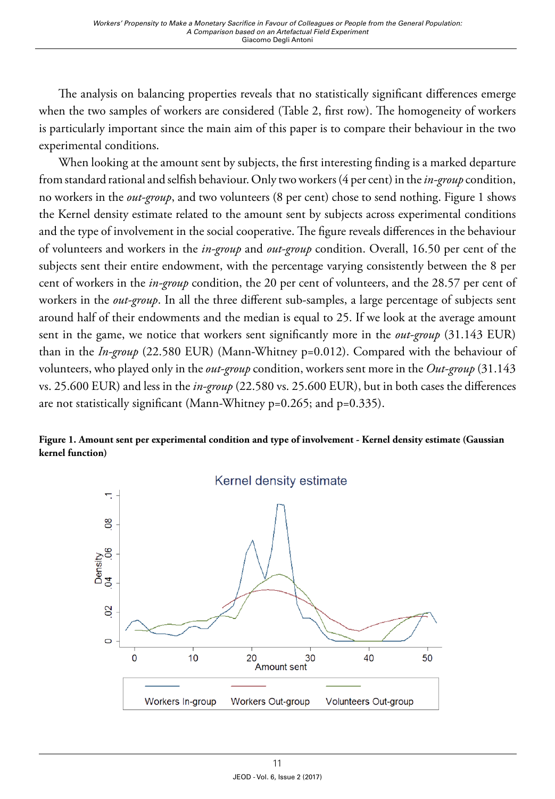The analysis on balancing properties reveals that no statistically significant differences emerge when the two samples of workers are considered (Table 2, first row). The homogeneity of workers is particularly important since the main aim of this paper is to compare their behaviour in the two experimental conditions.

When looking at the amount sent by subjects, the first interesting finding is a marked departure from standard rational and selfish behaviour. Only two workers (4 per cent) in the *in-group* condition, no workers in the *out-group*, and two volunteers (8 per cent) chose to send nothing. Figure 1 shows the Kernel density estimate related to the amount sent by subjects across experimental conditions and the type of involvement in the social cooperative. The figure reveals differences in the behaviour of volunteers and workers in the *in-group* and *out-group* condition. Overall, 16.50 per cent of the subjects sent their entire endowment, with the percentage varying consistently between the 8 per cent of workers in the *in-group* condition, the 20 per cent of volunteers, and the 28.57 per cent of workers in the *out-group*. In all the three different sub-samples, a large percentage of subjects sent around half of their endowments and the median is equal to 25. If we look at the average amount sent in the game, we notice that workers sent significantly more in the *out-group* (31.143 EUR) than in the *In-group* (22.580 EUR) (Mann-Whitney p=0.012). Compared with the behaviour of volunteers, who played only in the *out-group* condition, workers sent more in the *Out-group* (31.143 vs. 25.600 EUR) and less in the *in-group* (22.580 vs. 25.600 EUR), but in both cases the differences are not statistically significant (Mann-Whitney p=0.265; and p=0.335).



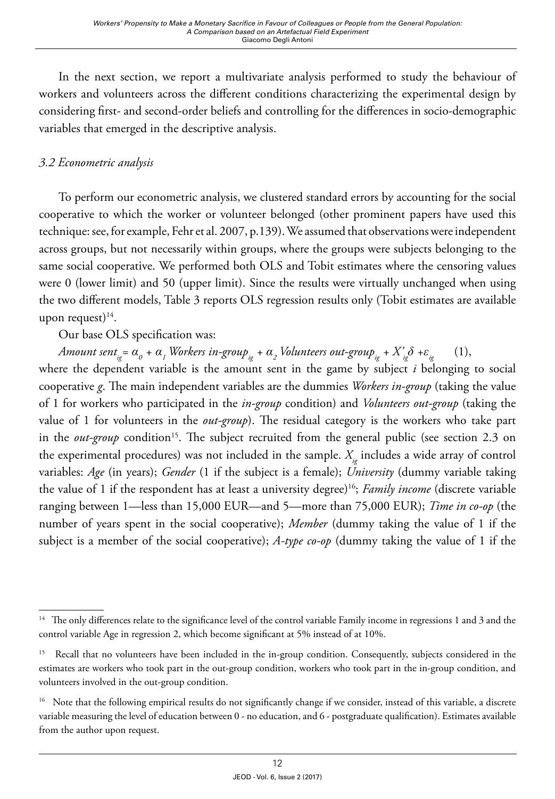In the next section, we report a multivariate analysis performed to study the behaviour of workers and volunteers across the different conditions characterizing the experimental design by considering first- and second-order beliefs and controlling for the differences in socio-demographic variables that emerged in the descriptive analysis.

# *3.2 Econometric analysis*

To perform our econometric analysis, we clustered standard errors by accounting for the social cooperative to which the worker or volunteer belonged (other prominent papers have used this technique: see, for example, Fehr et al. 2007, p.139). We assumed that observations were independent across groups, but not necessarily within groups, where the groups were subjects belonging to the same social cooperative. We performed both OLS and Tobit estimates where the censoring values were 0 (lower limit) and 50 (upper limit). Since the results were virtually unchanged when using the two different models, Table 3 reports OLS regression results only (Tobit estimates are available upon request) $14$ .

# Our base OLS specification was:

 $A$ mount sent $_{i_{\rm g}}$  =  $\alpha$ <sub>0</sub> +  $\alpha$ <sub>1</sub> Workers in-group<sub>ig</sub> +  $\alpha$ <sub>2</sub> Volunteers out-group<sub>ig</sub> +  $X$ '<sub>ig</sub> $\delta$  + $\varepsilon$ <sub>ig</sub>  $\qquad$  (1),

where the dependent variable is the amount sent in the game by subject *i* belonging to social cooperative *g*. The main independent variables are the dummies *Workers in-group* (taking the value of 1 for workers who participated in the *in-group* condition) and *Volunteers out-group* (taking the value of 1 for volunteers in the *out-group*). The residual category is the workers who take part in the *out-group* condition<sup>15</sup>. The subject recruited from the general public (see section 2.3 on the experimental procedures) was not included in the sample.  $X_{ij}$  includes a wide array of control variables: *Age* (in years); *Gender* (1 if the subject is a female); *University* (dummy variable taking the value of 1 if the respondent has at least a university degree)<sup>16</sup>; *Family income* (discrete variable ranging between 1—less than 15,000 EUR—and 5—more than 75,000 EUR); *Time in co-op* (the number of years spent in the social cooperative); *Member* (dummy taking the value of 1 if the subject is a member of the social cooperative); *A-type co-op* (dummy taking the value of 1 if the

<sup>&</sup>lt;sup>14</sup> The only differences relate to the significance level of the control variable Family income in regressions 1 and 3 and the control variable Age in regression 2, which become significant at 5% instead of at 10%.

<sup>&</sup>lt;sup>15</sup> Recall that no volunteers have been included in the in-group condition. Consequently, subjects considered in the estimates are workers who took part in the out-group condition, workers who took part in the in-group condition, and volunteers involved in the out-group condition.

<sup>&</sup>lt;sup>16</sup> Note that the following empirical results do not significantly change if we consider, instead of this variable, a discrete variable measuring the level of education between 0 - no education, and 6 - postgraduate qualification). Estimates available from the author upon request.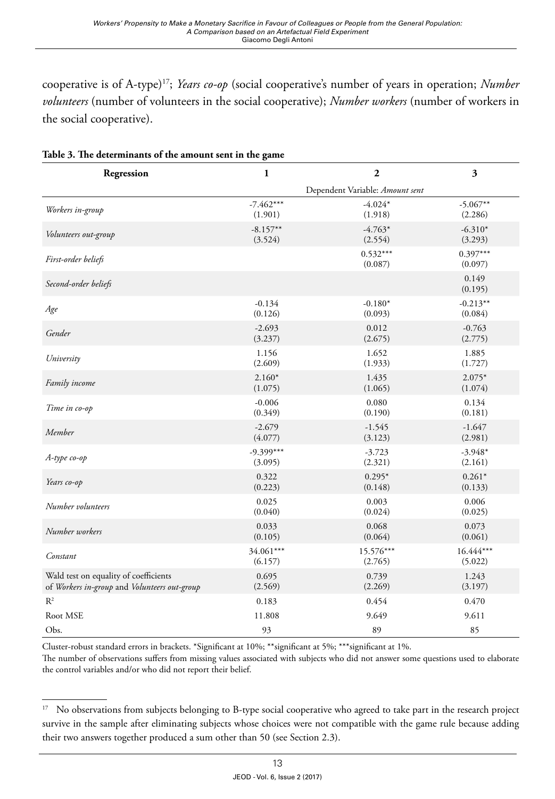cooperative is of A-type)<sup>17</sup>; *Years co-op* (social cooperative's number of years in operation; *Number volunteers* (number of volunteers in the social cooperative); *Number workers* (number of workers in the social cooperative).

| Regression                                   | $\mathbf{1}$ | $\mathbf{2}$                    | 3                     |
|----------------------------------------------|--------------|---------------------------------|-----------------------|
|                                              |              | Dependent Variable: Amount sent |                       |
| Workers in-group                             | $-7.462***$  | $-4.024*$                       | $-5.067**$            |
|                                              | (1.901)      | (1.918)                         | (2.286)               |
| Volunteers out-group                         | $-8.157**$   | $-4.763*$                       | $-6.310*$             |
|                                              | (3.524)      | (2.554)                         | (3.293)               |
| First-order beliefs                          |              | $0.532***$<br>(0.087)           | $0.397***$<br>(0.097) |
| Second-order beliefs                         |              |                                 | 0.149<br>(0.195)      |
| Age                                          | $-0.134$     | $-0.180*$                       | $-0.213**$            |
|                                              | (0.126)      | (0.093)                         | (0.084)               |
| Gender                                       | $-2.693$     | 0.012                           | $-0.763$              |
|                                              | (3.237)      | (2.675)                         | (2.775)               |
| University                                   | 1.156        | 1.652                           | 1.885                 |
|                                              | (2.609)      | (1.933)                         | (1.727)               |
| Family income                                | $2.160*$     | 1.435                           | $2.075*$              |
|                                              | (1.075)      | (1.065)                         | (1.074)               |
| Time in co-op                                | $-0.006$     | 0.080                           | 0.134                 |
|                                              | (0.349)      | (0.190)                         | (0.181)               |
| Member                                       | $-2.679$     | $-1.545$                        | $-1.647$              |
|                                              | (4.077)      | (3.123)                         | (2.981)               |
| $A$ -type co-op                              | $-9.399***$  | $-3.723$                        | $-3.948*$             |
|                                              | (3.095)      | (2.321)                         | (2.161)               |
| Years co-op                                  | 0.322        | $0.295*$                        | $0.261*$              |
|                                              | (0.223)      | (0.148)                         | (0.133)               |
| Number volunteers                            | 0.025        | 0.003                           | 0.006                 |
|                                              | (0.040)      | (0.024)                         | (0.025)               |
| Number workers                               | 0.033        | 0.068                           | 0.073                 |
|                                              | (0.105)      | (0.064)                         | (0.061)               |
| Constant                                     | 34.061***    | 15.576***                       | 16.444***             |
|                                              | (6.157)      | (2.765)                         | (5.022)               |
| Wald test on equality of coefficients        | 0.695        | 0.739                           | 1.243                 |
| of Workers in-group and Volunteers out-group | (2.569)      | (2.269)                         | (3.197)               |
| $R^2$                                        | 0.183        | 0.454                           | 0.470                 |
| Root MSE                                     | 11.808       | 9.649                           | 9.611                 |
| Obs.                                         | 93           | 89                              | 85                    |

**Table 3. The determinants of the amount sent in the game**

Cluster-robust standard errors in brackets. \*Significant at 10%; \*\*significant at 5%; \*\*\*significant at 1%.

The number of observations suffers from missing values associated with subjects who did not answer some questions used to elaborate the control variables and/or who did not report their belief.

<sup>&</sup>lt;sup>17</sup> No observations from subjects belonging to B-type social cooperative who agreed to take part in the research project survive in the sample after eliminating subjects whose choices were not compatible with the game rule because adding their two answers together produced a sum other than 50 (see Section 2.3).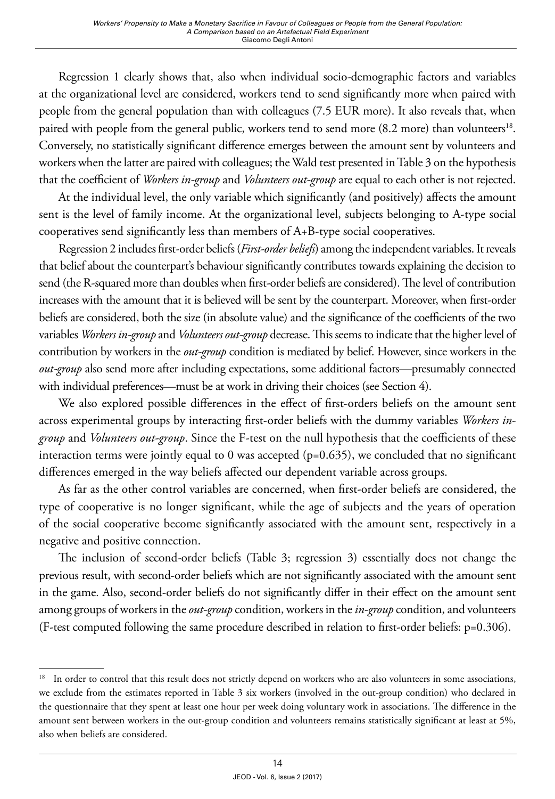Regression 1 clearly shows that, also when individual socio-demographic factors and variables at the organizational level are considered, workers tend to send significantly more when paired with people from the general population than with colleagues (7.5 EUR more). It also reveals that, when paired with people from the general public, workers tend to send more (8.2 more) than volunteers<sup>18</sup>. Conversely, no statistically significant difference emerges between the amount sent by volunteers and workers when the latter are paired with colleagues; the Wald test presented in Table 3 on the hypothesis that the coefficient of *Workers in-group* and *Volunteers out-group* are equal to each other is not rejected.

At the individual level, the only variable which significantly (and positively) affects the amount sent is the level of family income. At the organizational level, subjects belonging to A-type social cooperatives send significantly less than members of A+B-type social cooperatives.

Regression 2 includes first-order beliefs(*First-order beliefs*) among the independent variables. It reveals that belief about the counterpart's behaviour significantly contributes towards explaining the decision to send (the R-squared more than doubles when first-order beliefs are considered). The level of contribution increases with the amount that it is believed will be sent by the counterpart. Moreover, when first-order beliefs are considered, both the size (in absolute value) and the significance of the coefficients of the two variables *Workers in-group* and *Volunteers out-group* decrease. This seems to indicate that the higher level of contribution by workers in the *out-group* condition is mediated by belief. However, since workers in the *out-group* also send more after including expectations, some additional factors—presumably connected with individual preferences—must be at work in driving their choices (see Section 4).

We also explored possible differences in the effect of first-orders beliefs on the amount sent across experimental groups by interacting first-order beliefs with the dummy variables *Workers ingroup* and *Volunteers out-group*. Since the F-test on the null hypothesis that the coefficients of these interaction terms were jointly equal to 0 was accepted (p=0.635), we concluded that no significant differences emerged in the way beliefs affected our dependent variable across groups.

As far as the other control variables are concerned, when first-order beliefs are considered, the type of cooperative is no longer significant, while the age of subjects and the years of operation of the social cooperative become significantly associated with the amount sent, respectively in a negative and positive connection.

The inclusion of second-order beliefs (Table 3; regression 3) essentially does not change the previous result, with second-order beliefs which are not significantly associated with the amount sent in the game. Also, second-order beliefs do not significantly differ in their effect on the amount sent among groups of workers in the *out-group* condition, workers in the *in-group* condition, and volunteers (F-test computed following the same procedure described in relation to first-order beliefs: p=0.306).

<sup>&</sup>lt;sup>18</sup> In order to control that this result does not strictly depend on workers who are also volunteers in some associations, we exclude from the estimates reported in Table 3 six workers (involved in the out-group condition) who declared in the questionnaire that they spent at least one hour per week doing voluntary work in associations. The difference in the amount sent between workers in the out-group condition and volunteers remains statistically significant at least at 5%, also when beliefs are considered.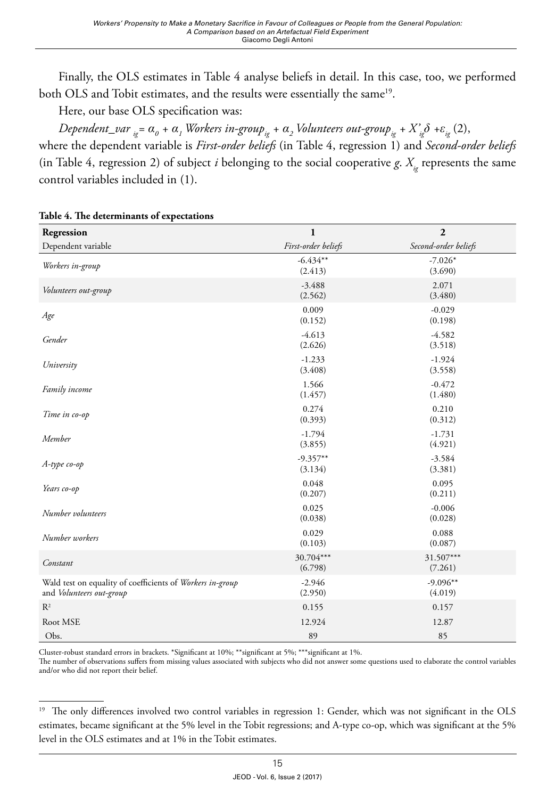Finally, the OLS estimates in Table 4 analyse beliefs in detail. In this case, too, we performed both OLS and Tobit estimates, and the results were essentially the same<sup>19</sup>.

Here, our base OLS specification was:

 $Dependent\_var_{ig} = α_o + α_{_I}$ Workers in-group $_{ig}$  +  $α_{_2}$ Volunteers out-group $_{ig}$  +  $X'_{ig}$ δ + $ε_{_{ig}}$  (2),

where the dependent variable is *First-order beliefs* (in Table 4, regression 1) and *Second-order beliefs* (in Table 4, regression 2) of subject *i* belonging to the social cooperative *g*.  $X_{i}$  represents the same control variables included in (1).

| Regression                                                                            | $\mathbf{1}$          | $\boldsymbol{2}$      |
|---------------------------------------------------------------------------------------|-----------------------|-----------------------|
| Dependent variable                                                                    | First-order beliefs   | Second-order beliefs  |
| Workers in-group                                                                      | $-6.434**$<br>(2.413) | $-7.026*$<br>(3.690)  |
| Volunteers out-group                                                                  | $-3.488$<br>(2.562)   | 2.071<br>(3.480)      |
| Age                                                                                   | 0.009<br>(0.152)      | $-0.029$<br>(0.198)   |
| Gender                                                                                | $-4.613$<br>(2.626)   | $-4.582$<br>(3.518)   |
| University                                                                            | $-1.233$<br>(3.408)   | $-1.924$<br>(3.558)   |
| Family income                                                                         | 1.566<br>(1.457)      | $-0.472$<br>(1.480)   |
| Time in co-op                                                                         | 0.274<br>(0.393)      | 0.210<br>(0.312)      |
| Member                                                                                | $-1.794$<br>(3.855)   | $-1.731$<br>(4.921)   |
| A-type co-op                                                                          | $-9.357**$<br>(3.134) | $-3.584$<br>(3.381)   |
| Years co-op                                                                           | 0.048<br>(0.207)      | 0.095<br>(0.211)      |
| Number volunteers                                                                     | 0.025<br>(0.038)      | $-0.006$<br>(0.028)   |
| Number workers                                                                        | 0.029<br>(0.103)      | 0.088<br>(0.087)      |
| Constant                                                                              | 30.704***<br>(6.798)  | 31.507***<br>(7.261)  |
| Wald test on equality of coefficients of Workers in-group<br>and Volunteers out-group | $-2.946$<br>(2.950)   | $-9.096**$<br>(4.019) |
| $R^2$                                                                                 | 0.155                 | 0.157                 |
| Root MSE                                                                              | 12.924                | 12.87                 |
| Obs.                                                                                  | 89                    | 85                    |

#### **Table 4. The determinants of expectations**

Cluster-robust standard errors in brackets. \*Significant at 10%; \*\*significant at 5%; \*\*\*significant at 1%.

The number of observations suffers from missing values associated with subjects who did not answer some questions used to elaborate the control variables and/or who did not report their belief.

<sup>&</sup>lt;sup>19</sup> The only differences involved two control variables in regression 1: Gender, which was not significant in the OLS estimates, became significant at the 5% level in the Tobit regressions; and A-type co-op, which was significant at the 5% level in the OLS estimates and at 1% in the Tobit estimates.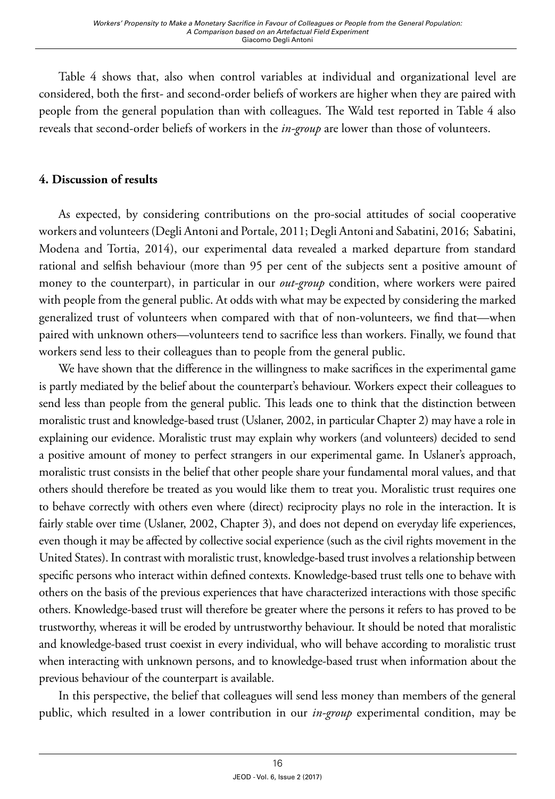Table 4 shows that, also when control variables at individual and organizational level are considered, both the first- and second-order beliefs of workers are higher when they are paired with people from the general population than with colleagues. The Wald test reported in Table 4 also reveals that second-order beliefs of workers in the *in-group* are lower than those of volunteers.

# **4. Discussion of results**

As expected, by considering contributions on the pro-social attitudes of social cooperative workers and volunteers (Degli Antoni and Portale, 2011; Degli Antoni and Sabatini, 2016; Sabatini, Modena and Tortia, 2014), our experimental data revealed a marked departure from standard rational and selfish behaviour (more than 95 per cent of the subjects sent a positive amount of money to the counterpart), in particular in our *out-group* condition, where workers were paired with people from the general public. At odds with what may be expected by considering the marked generalized trust of volunteers when compared with that of non-volunteers, we find that—when paired with unknown others—volunteers tend to sacrifice less than workers. Finally, we found that workers send less to their colleagues than to people from the general public.

We have shown that the difference in the willingness to make sacrifices in the experimental game is partly mediated by the belief about the counterpart's behaviour. Workers expect their colleagues to send less than people from the general public. This leads one to think that the distinction between moralistic trust and knowledge-based trust (Uslaner, 2002, in particular Chapter 2) may have a role in explaining our evidence. Moralistic trust may explain why workers (and volunteers) decided to send a positive amount of money to perfect strangers in our experimental game. In Uslaner's approach, moralistic trust consists in the belief that other people share your fundamental moral values, and that others should therefore be treated as you would like them to treat you. Moralistic trust requires one to behave correctly with others even where (direct) reciprocity plays no role in the interaction. It is fairly stable over time (Uslaner, 2002, Chapter 3), and does not depend on everyday life experiences, even though it may be affected by collective social experience (such as the civil rights movement in the United States). In contrast with moralistic trust, knowledge-based trust involves a relationship between specific persons who interact within defined contexts. Knowledge-based trust tells one to behave with others on the basis of the previous experiences that have characterized interactions with those specific others. Knowledge-based trust will therefore be greater where the persons it refers to has proved to be trustworthy, whereas it will be eroded by untrustworthy behaviour. It should be noted that moralistic and knowledge-based trust coexist in every individual, who will behave according to moralistic trust when interacting with unknown persons, and to knowledge-based trust when information about the previous behaviour of the counterpart is available.

In this perspective, the belief that colleagues will send less money than members of the general public, which resulted in a lower contribution in our *in-group* experimental condition, may be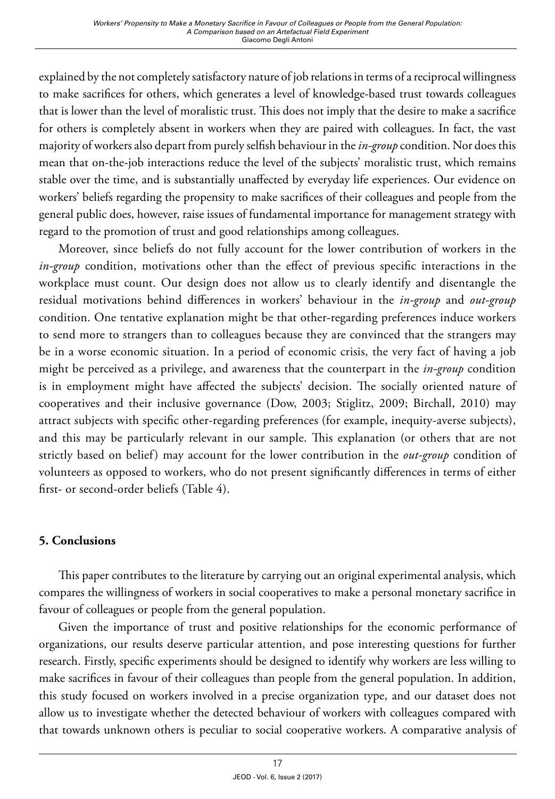explained by the not completely satisfactory nature of job relations in terms of a reciprocal willingness to make sacrifices for others, which generates a level of knowledge-based trust towards colleagues that is lower than the level of moralistic trust. This does not imply that the desire to make a sacrifice for others is completely absent in workers when they are paired with colleagues. In fact, the vast majority of workers also depart from purely selfish behaviour in the *in-group* condition. Nor does this mean that on-the-job interactions reduce the level of the subjects' moralistic trust, which remains stable over the time, and is substantially unaffected by everyday life experiences. Our evidence on workers' beliefs regarding the propensity to make sacrifices of their colleagues and people from the general public does, however, raise issues of fundamental importance for management strategy with regard to the promotion of trust and good relationships among colleagues.

Moreover, since beliefs do not fully account for the lower contribution of workers in the *in-group* condition, motivations other than the effect of previous specific interactions in the workplace must count. Our design does not allow us to clearly identify and disentangle the residual motivations behind differences in workers' behaviour in the *in-group* and *out-group* condition. One tentative explanation might be that other-regarding preferences induce workers to send more to strangers than to colleagues because they are convinced that the strangers may be in a worse economic situation. In a period of economic crisis, the very fact of having a job might be perceived as a privilege, and awareness that the counterpart in the *in-group* condition is in employment might have affected the subjects' decision. The socially oriented nature of cooperatives and their inclusive governance (Dow, 2003; Stiglitz, 2009; Birchall, 2010) may attract subjects with specific other-regarding preferences (for example, inequity-averse subjects), and this may be particularly relevant in our sample. This explanation (or others that are not strictly based on belief) may account for the lower contribution in the *out-group* condition of volunteers as opposed to workers, who do not present significantly differences in terms of either first- or second-order beliefs (Table 4).

# **5. Conclusions**

This paper contributes to the literature by carrying out an original experimental analysis, which compares the willingness of workers in social cooperatives to make a personal monetary sacrifice in favour of colleagues or people from the general population.

Given the importance of trust and positive relationships for the economic performance of organizations, our results deserve particular attention, and pose interesting questions for further research. Firstly, specific experiments should be designed to identify why workers are less willing to make sacrifices in favour of their colleagues than people from the general population. In addition, this study focused on workers involved in a precise organization type, and our dataset does not allow us to investigate whether the detected behaviour of workers with colleagues compared with that towards unknown others is peculiar to social cooperative workers. A comparative analysis of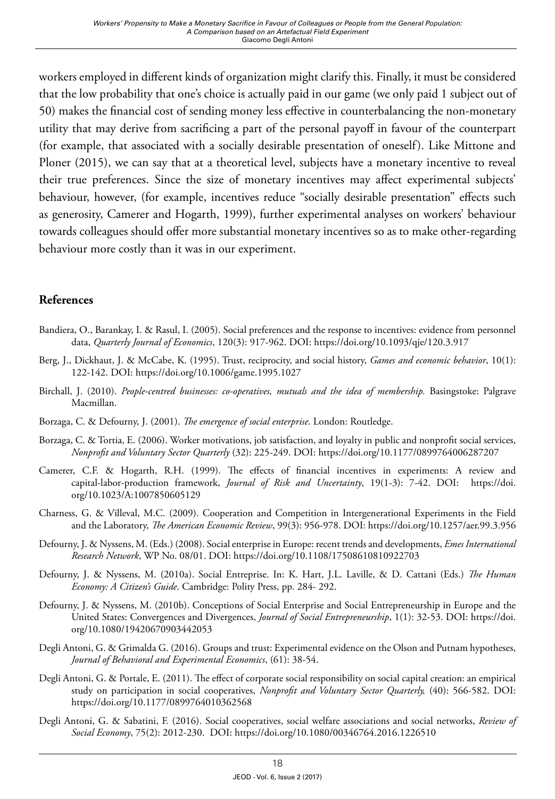workers employed in different kinds of organization might clarify this. Finally, it must be considered that the low probability that one's choice is actually paid in our game (we only paid 1 subject out of 50) makes the financial cost of sending money less effective in counterbalancing the non-monetary utility that may derive from sacrificing a part of the personal payoff in favour of the counterpart (for example, that associated with a socially desirable presentation of oneself). Like Mittone and Ploner (2015), we can say that at a theoretical level, subjects have a monetary incentive to reveal their true preferences. Since the size of monetary incentives may affect experimental subjects' behaviour, however, (for example, incentives reduce "socially desirable presentation" effects such as generosity, Camerer and Hogarth, 1999), further experimental analyses on workers' behaviour towards colleagues should offer more substantial monetary incentives so as to make other-regarding behaviour more costly than it was in our experiment.

# **References**

- Bandiera, O., Barankay, I. & Rasul, I. (2005). Social preferences and the response to incentives: evidence from personnel data, *Quarterly Journal of Economics*, 120(3): 917-962. DOI:<https://doi.org/10.1093/qje/120.3.917>
- Berg, J., Dickhaut, J. & McCabe, K. (1995). Trust, reciprocity, and social history, *Games and economic behavior*, 10(1): 122-142. DOI:<https://doi.org/10.1006/game.1995.1027>
- Birchall, J. (2010). *People-centred businesses: co-operatives, mutuals and the idea of membership.* Basingstoke: Palgrave Macmillan.
- Borzaga, C. & Defourny, J. (2001). *The emergence of social enterprise*. London: Routledge.
- Borzaga, C. & Tortia, E. (2006). Worker motivations, job satisfaction, and loyalty in public and nonprofit social services, *Nonprofit and Voluntary Sector Quarterly* (32): 225-249. DOI:<https://doi.org/10.1177/0899764006287207>
- Camerer, C.F. & Hogarth, R.H. (1999). The effects of financial incentives in experiments: A review and capital-labor-production framework, *Journal of Risk and Uncertainty*, 19(1-3): 7-42. DOI: [https://doi.](https://doi.org/10.1023/A:1007850605129) [org/10.1023/A:1007850605129](https://doi.org/10.1023/A:1007850605129)
- Charness, G. & Villeval, M.C. (2009). Cooperation and Competition in Intergenerational Experiments in the Field and the Laboratory, *The American Economic Review*, 99(3): 956-978. DOI: <https://doi.org/10.1257/aer.99.3.956>
- Defourny, J. & Nyssens, M. (Eds.) (2008). Social enterprise in Europe: recent trends and developments, *Emes International Research Network*, WP No. 08/01. DOI:<https://doi.org/10.1108/17508610810922703>
- Defourny, J. & Nyssens, M. (2010a). Social Entreprise. In: K. Hart, J.L. Laville, & D. Cattani (Eds.) *The Human Economy: A Citizen's Guide*. Cambridge: Polity Press, pp. 284- 292.
- Defourny, J. & Nyssens, M. (2010b). Conceptions of Social Enterprise and Social Entrepreneurship in Europe and the United States: Convergences and Divergences, *Journal of Social Entrepreneurship*, 1(1): 32-53. DOI: [https://doi.](https://doi.org/10.1080/19420670903442053) [org/10.1080/19420670903442053](https://doi.org/10.1080/19420670903442053)
- Degli Antoni, G. & Grimalda G. (2016). Groups and trust: Experimental evidence on the Olson and Putnam hypotheses, *Journal of Behavioral and Experimental Economics*, (61): 38-54.
- Degli Antoni, G. & Portale, E. (2011). The effect of corporate social responsibility on social capital creation: an empirical study on participation in social cooperatives, *Nonprofit and Voluntary Sector Quarterly,* (40): 566-582. DOI: <https://doi.org/10.1177/0899764010362568>
- Degli Antoni, G. & Sabatini, F. (2016). Social cooperatives, social welfare associations and social networks, *Review of Social Economy*, 75(2): 2012-230. DOI:<https://doi.org/10.1080/00346764.2016.1226510>